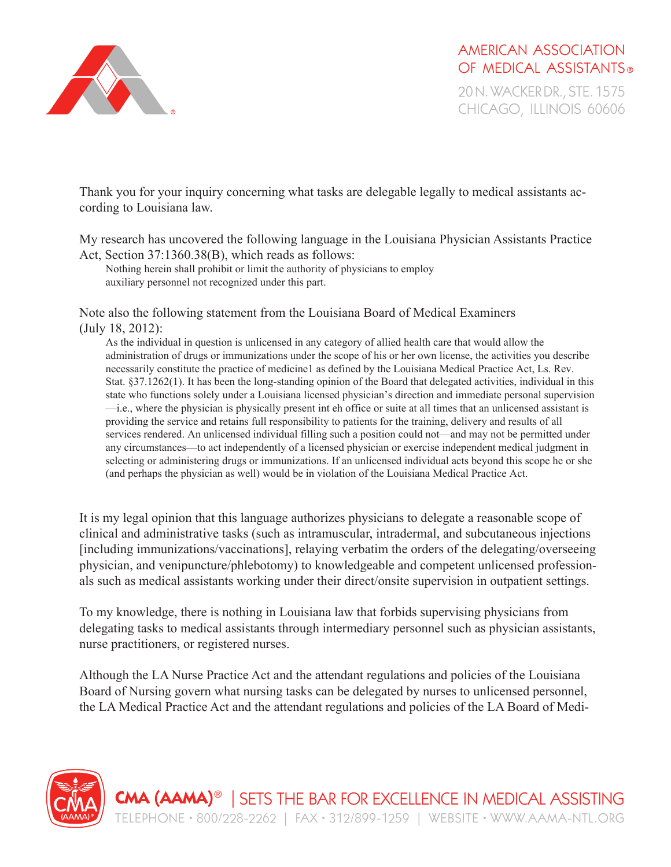

AMERICAN ASSOCIATION OF MEDICAL ASSISTANTS<sup>®</sup>

0 N. WACKER DR., STE. 1575 CHICAGO, ILLINOIS 60606

Thank you for your inquiry concerning what tasks are delegable legally to medical assistants according to Louisiana law.

My research has uncovered the following language in the Louisiana Physician Assistants Practice Act, Section 37:1360.38(B), which reads as follows:

Nothing herein shall prohibit or limit the authority of physicians to employ auxiliary personnel not recognized under this part.

Note also the following statement from the Louisiana Board of Medical Examiners (July 18, 2012):

As the individual in question is unlicensed in any category of allied health care that would allow the administration of drugs or immunizations under the scope of his or her own license, the activities you describe necessarily constitute the practice of medicine1 as defined by the Louisiana Medical Practice Act, Ls. Rev. Stat. §37.1262(1). It has been the long-standing opinion of the Board that delegated activities, individual in this state who functions solely under a Louisiana licensed physician's direction and immediate personal supervision —i.e., where the physician is physically present int eh office or suite at all times that an unlicensed assistant is providing the service and retains full responsibility to patients for the training, delivery and results of all services rendered. An unlicensed individual filling such a position could not—and may not be permitted under any circumstances—to act independently of a licensed physician or exercise independent medical judgment in selecting or administering drugs or immunizations. If an unlicensed individual acts beyond this scope he or she (and perhaps the physician as well) would be in violation of the Louisiana Medical Practice Act.

It is my legal opinion that this language authorizes physicians to delegate a reasonable scope of clinical and administrative tasks (such as intramuscular, intradermal, and subcutaneous injections [including immunizations/vaccinations], relaying verbatim the orders of the delegating/overseeing physician, and venipuncture/phlebotomy) to knowledgeable and competent unlicensed professionals such as medical assistants working under their direct/onsite supervision in outpatient settings.

To my knowledge, there is nothing in Louisiana law that forbids supervising physicians from delegating tasks to medical assistants through intermediary personnel such as physician assistants, nurse practitioners, or registered nurses.

Although the LA Nurse Practice Act and the attendant regulations and policies of the Louisiana Board of Nursing govern what nursing tasks can be delegated by nurses to unlicensed personnel, the LA Medical Practice Act and the attendant regulations and policies of the LA Board of Medi-

**CMA (AAMA)**®| SETS THE BAR FOR EXCELLENCE IN MEDICAL ASSISTING TELEPHONE • 800/228-2262 | FAX • 312/899-1259 | WEBSITE • WWW.AAMA-NTL.ORG